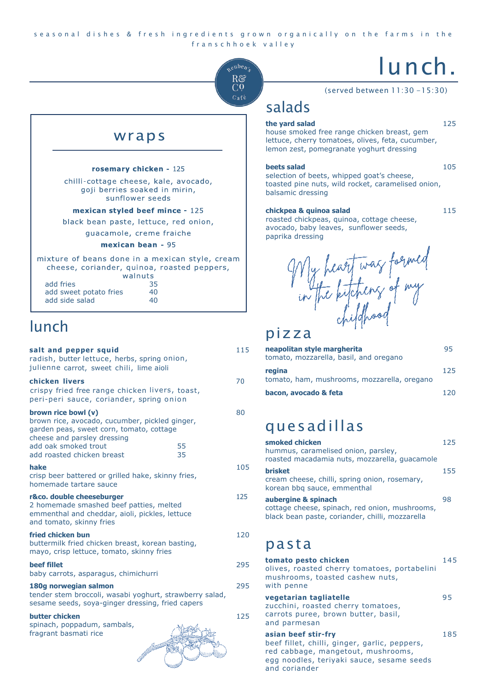#### seasonal dishes & fresh ingredients grown organically on the farms in the franschhoek valley



## wraps

#### rosemary chicken - 125

chilli-cottage cheese, kale, avocado, goji berries soaked in mirin, sunflower seeds

#### mexican styled beef mince - 125

black bean paste, lettuce, red onion,

guacamole, creme fraiche

#### mexican bean - 95

mixture of beans done in a mexican style, cream cheese, coriander, quinoa, roasted peppers, walnuts

| add fries              | 35 |
|------------------------|----|
| add sweet potato fries | 40 |
| add side salad         | 40 |

# lunch

| salt and pepper squid<br>radish, butter lettuce, herbs, spring onion,<br>julienne carrot, sweet chili, lime aioli                                                                                      |          | 115 |
|--------------------------------------------------------------------------------------------------------------------------------------------------------------------------------------------------------|----------|-----|
| chicken livers<br>crispy fried free range chicken livers, toast,<br>peri-peri sauce, coriander, spring onion                                                                                           |          | 70  |
| brown rice bowl (v)<br>brown rice, avocado, cucumber, pickled ginger,<br>garden peas, sweet corn, tomato, cottage<br>cheese and parsley dressing<br>add oak smoked trout<br>add roasted chicken breast | 55<br>35 | 80  |
| hake<br>crisp beer battered or grilled hake, skinny fries,<br>homemade tartare sauce                                                                                                                   |          | 105 |
| r&co. double cheeseburger<br>2 homemade smashed beef patties, melted<br>emmenthal and cheddar, aioli, pickles, lettuce<br>and tomato, skinny fries                                                     |          | 125 |
| fried chicken bun<br>buttermilk fried chicken breast, korean basting,<br>mayo, crisp lettuce, tomato, skinny fries                                                                                     |          | 120 |
| <b>beef fillet</b><br>baby carrots, asparagus, chimichurri                                                                                                                                             |          | 295 |
| 180g norwegian salmon<br>tender stem broccoli, wasabi yoghurt, strawberry salad,<br>sesame seeds, soya-ginger dressing, fried capers                                                                   |          | 295 |
| butter chicken<br>spinach, poppadum, sambals,<br>fragrant basmati rice                                                                                                                                 |          | 125 |

# lunch.

(served between 11:30 -15:30)

# salads

#### **the yard salad** 125

house smoked free range chicken breast, gem lettuce, cherry tomatoes, olives, feta, cucumber, lemon zest, pomegranate yoghurt dressing

#### **beets salad** 105

selection of beets, whipped goat's cheese, toasted pine nuts, wild rocket, caramelised onion, balsamic dressing

#### **chickpea & quinoa salad** 115

roasted chickpeas, quinoa, cottage cheese, avocado, baby leaves, sunflower seeds, paprika dressing

My heart was formed<br>in the kitchens of my<br>pizza

| neapolitan style margherita<br>tomato, mozzarella, basil, and oregano | 95   |
|-----------------------------------------------------------------------|------|
| regina<br>tomato, ham, mushrooms, mozzarella, oregano                 | 125  |
| bacon, avocado & feta                                                 | 12 N |

# quesadillas

| smoked chicken<br>hummus, caramelised onion, parsley,<br>roasted macadamia nuts, mozzarella, quacamole                   | 125 |
|--------------------------------------------------------------------------------------------------------------------------|-----|
| <b>brisket</b><br>cream cheese, chilli, spring onion, rosemary,<br>korean bbg sauce, emmenthal                           | 155 |
| aubergine & spinach<br>cottage cheese, spinach, red onion, mushrooms,<br>black bean paste, coriander, chilli, mozzarella | 98  |

# pasta

| tomato pesto chicken<br>olives, roasted cherry tomatoes, portabelini<br>mushrooms, toasted cashew nuts,<br>with penne                                                    | 145 |
|--------------------------------------------------------------------------------------------------------------------------------------------------------------------------|-----|
| vegetarian tagliatelle<br>zucchini, roasted cherry tomatoes,<br>carrots puree, brown butter, basil,<br>and parmesan                                                      | 95  |
| asian beef stir-fry<br>beef fillet, chilli, ginger, garlic, peppers,<br>red cabbage, mangetout, mushrooms,<br>egg noodles, teriyaki sauce, sesame seeds<br>and coriander | 185 |